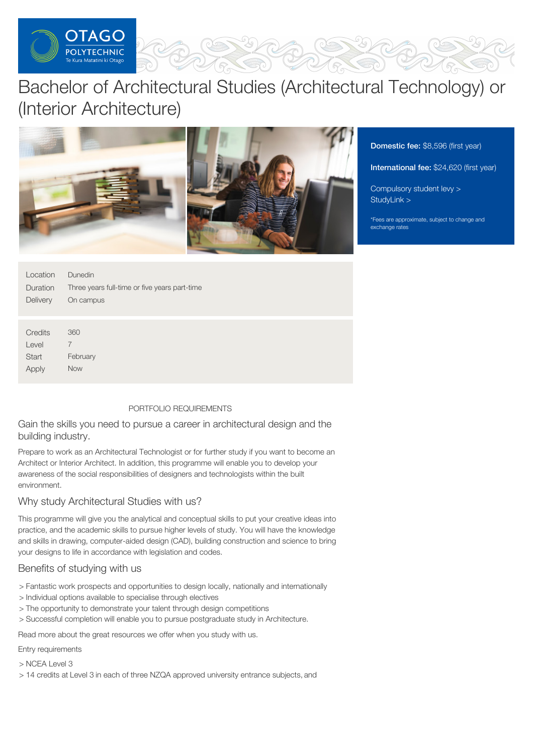

# Bachelor of Architectural Studies (Architectural Technology) or (Interior Architecture)



Domestic fee: \$8,596 (first year)

International fee: \$24,620 (first year)

[Compulsory](https://online.op.ac.nz/students/important-information/student-services-levy/) student levy > [StudyLink](https://www.studylink.govt.nz/) >

\*Fees are approximate, subject to change and exchange rates

| Location<br>Duration<br>Delivery | <b>Dunedin</b><br>Three years full-time or five years part-time<br>On campus |
|----------------------------------|------------------------------------------------------------------------------|
|                                  |                                                                              |
| Credits<br>Level                 | 360<br>7                                                                     |
|                                  |                                                                              |
| <b>Start</b>                     | February                                                                     |
| Apply                            | <b>Now</b>                                                                   |

# PORTFOLIO REQUIREMENTS

Gain the skills you need to pursue a career in architectural design and the building industry.

Prepare to work as an Architectural Technologist or for further study if you want to become an Architect or Interior Architect. In addition, this programme will enable you to develop your awareness of the social responsibilities of designers and technologists within the built environment.

# Why study Architectural Studies with us?

This programme will give you the analytical and conceptual skills to put your creative ideas into practice, and the academic skills to pursue higher levels of study. You will have the knowledge and skills in drawing, computer-aided design (CAD), building construction and science to bring your designs to life in accordance with legislation and codes.

# Benefits of studying with us

- > Fantastic work prospects and opportunities to design locally, nationally and internationally
- > Individual options available to specialise through electives
- > The opportunity to demonstrate your talent through design competitions
- > Successful completion will enable you to pursue postgraduate study in Architecture.

Read more about the great resources we offer when you study with us.

Entry requirements

> NCEA Level 3

> 14 credits at Level 3 in each of three NZQA approved university entrance subjects, and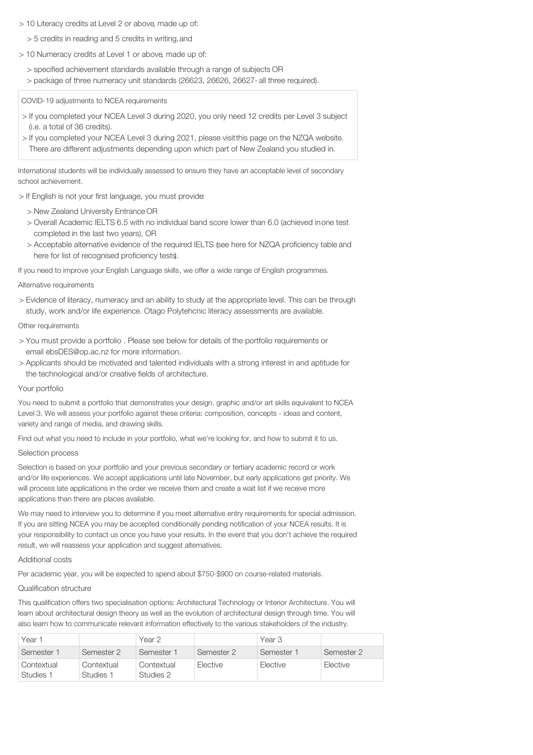- > 10 Literacy credits at Level 2 or above, made up of:
	- > 5 credits in reading and 5 credits in writing,and
- > 10 Numeracy credits at Level 1 or above, made up of:
	- > specified achievement standards available through a range of subjects OR
	- > package of three numeracy unit standards (26623, 26626, 26627- all three required).

COVID-19 adjustments to NCEA requirements

- > If you completed your NCEA Level 3 during 2020, you only need 12 credits per Level 3 subject (i.e. a total of 36 credits).
- > If you completed your NCEA Level 3 during 2021, please visitthis page on the NZQA website. There are different adjustments depending upon which part of New Zealand you studied in.

International students will be individually assessed to ensure they have an acceptable level of secondary school achievement.

> If English is not your first language, you must provide:

- > New Zealand University Entrance OR
- > Overall Academic IELTS 6.5 with no individual band score lower than 6.0 (achieved inone test completed in the last two years), OR
- > Acceptable alternative evidence of the required IELTS (see here for NZQA proficiency table and here for list of recognised proficiency tests).

If you need to improve your English Language skills, we offer a wide range of English programmes.

#### Alternative requirements

> Evidence of literacy, numeracy and an ability to study at the appropriate level. This can be through study, work and/or life experience. Otago Polytehcnic literacy assessments are available.

#### Other requirements

- > You must provide a portfolio . Please see below for details of the portfolio requirements or email ebsDES@op.ac.nz for more information.
- > Applicants should be motivated and talented individuals with a strong interest in and aptitude for the technological and/or creative fields of architecture.

## Your portfolio

You need to submit a portfolio that demonstrates your design, graphic and/or art skills equivalent to NCEA Level 3. We will assess your portfolio against these criteria: composition, concepts - ideas and content, variety and range of media, and drawing skills.

Find out what you need to include in your portfolio, what we're looking for, and how to submit it to us.

#### Selection process

Selection is based on your portfolio and your previous secondary or tertiary academic record or work and/or life experiences. We accept applications until late November, but early applications get priority. We will process late applications in the order we receive them and create a wait list if we receive more applications than there are places available.

We may need to interview you to determine if you meet alternative entry requirements for special admission. If you are sitting NCEA you may be accepted conditionally pending notification of your NCEA results. It is your responsibility to contact us once you have your results. In the event that you don't achieve the required result, we will reassess your application and suggest alternatives.

#### Additional costs

Per academic year, you will be expected to spend about \$750-\$900 on course-related materials.

## Qualification structure

This qualification offers two specialisation options: Architectural Technology or Interior Architecture. You will learn about architectural design theory as well as the evolution of architectural design through time. You will also learn how to communicate relevant information effectively to the various stakeholders of the industry.

| Year 1                  |                         | Year 2                  |            | Year 3     |            |
|-------------------------|-------------------------|-------------------------|------------|------------|------------|
| Semester 1              | Semester 2              | Semester 1              | Semester 2 | Semester 1 | Semester 2 |
| Contextual<br>Studies 1 | Contextual<br>Studies 1 | Contextual<br>Studies 2 | Elective   | Elective   | Elective   |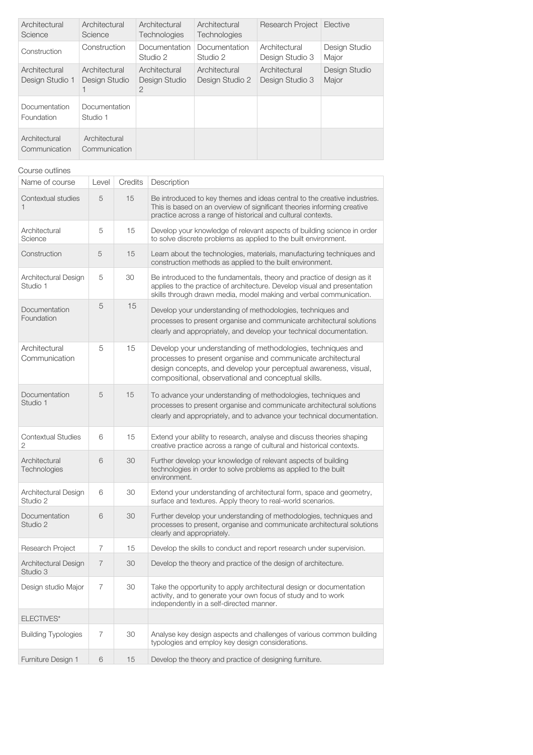| Architectural<br>Science         | Architectural<br>Science       | Architectural<br><b>Technologies</b> | Architectural<br>Technologies    | <b>Research Project</b>          | Elective               |
|----------------------------------|--------------------------------|--------------------------------------|----------------------------------|----------------------------------|------------------------|
| Construction                     | Construction                   | Documentation<br>Studio 2            | Documentation<br>Studio 2        | Architectural<br>Design Studio 3 | Design Studio<br>Major |
| Architectural<br>Design Studio 1 | Architectural<br>Design Studio | Architectural<br>Design Studio<br>2  | Architectural<br>Design Studio 2 | Architectural<br>Design Studio 3 | Design Studio<br>Major |
| Documentation<br>Foundation      | Documentation<br>Studio 1      |                                      |                                  |                                  |                        |
| Architectural<br>Communication   | Architectural<br>Communication |                                      |                                  |                                  |                        |

| Course outlines                  |             |         |                                                                                                                                                                                                                                                      |
|----------------------------------|-------------|---------|------------------------------------------------------------------------------------------------------------------------------------------------------------------------------------------------------------------------------------------------------|
| Name of course                   | Level       | Credits | Description                                                                                                                                                                                                                                          |
| Contextual studies<br>1          | 5           | 15      | Be introduced to key themes and ideas central to the creative industries.<br>This is based on an overview of significant theories informing creative<br>practice across a range of historical and cultural contexts.                                 |
| Architectural<br>Science         | 5           | 15      | Develop your knowledge of relevant aspects of building science in order<br>to solve discrete problems as applied to the built environment.                                                                                                           |
| Construction                     | $\mathbf 5$ | 15      | Learn about the technologies, materials, manufacturing techniques and<br>construction methods as applied to the built environment.                                                                                                                   |
| Architectural Design<br>Studio 1 | 5           | 30      | Be introduced to the fundamentals, theory and practice of design as it<br>applies to the practice of architecture. Develop visual and presentation<br>skills through drawn media, model making and verbal communication.                             |
| Documentation<br>Foundation      | 5           | 15      | Develop your understanding of methodologies, techniques and<br>processes to present organise and communicate architectural solutions<br>clearly and appropriately, and develop your technical documentation.                                         |
| Architectural<br>Communication   | 5           | 15      | Develop your understanding of methodologies, techniques and<br>processes to present organise and communicate architectural<br>design concepts, and develop your perceptual awareness, visual,<br>compositional, observational and conceptual skills. |
| Documentation<br>Studio 1        | 5           | 15      | To advance your understanding of methodologies, techniques and<br>processes to present organise and communicate architectural solutions<br>clearly and appropriately, and to advance your technical documentation.                                   |
| <b>Contextual Studies</b><br>2   | 6           | 15      | Extend your ability to research, analyse and discuss theories shaping<br>creative practice across a range of cultural and historical contexts.                                                                                                       |
| Architectural<br>Technologies    | 6           | 30      | Further develop your knowledge of relevant aspects of building<br>technologies in order to solve problems as applied to the built<br>environment.                                                                                                    |
| Architectural Design<br>Studio 2 | 6           | 30      | Extend your understanding of architectural form, space and geometry,<br>surface and textures. Apply theory to real-world scenarios.                                                                                                                  |
| Documentation<br>Studio 2        | 6           | 30      | Further develop your understanding of methodologies, techniques and<br>processes to present, organise and communicate architectural solutions<br>clearly and appropriately.                                                                          |
| Research Project                 | 7           | 15      | Develop the skills to conduct and report research under supervision.                                                                                                                                                                                 |
| Architectural Design<br>Studio 3 | 7           | 30      | Develop the theory and practice of the design of architecture.                                                                                                                                                                                       |
| Design studio Major              | 7           | 30      | Take the opportunity to apply architectural design or documentation<br>activity, and to generate your own focus of study and to work<br>independently in a self-directed manner.                                                                     |
| ELECTIVES*                       |             |         |                                                                                                                                                                                                                                                      |
| <b>Building Typologies</b>       | 7           | 30      | Analyse key design aspects and challenges of various common building<br>typologies and employ key design considerations.                                                                                                                             |
| Furniture Design 1               | 6           | 15      | Develop the theory and practice of designing furniture.                                                                                                                                                                                              |